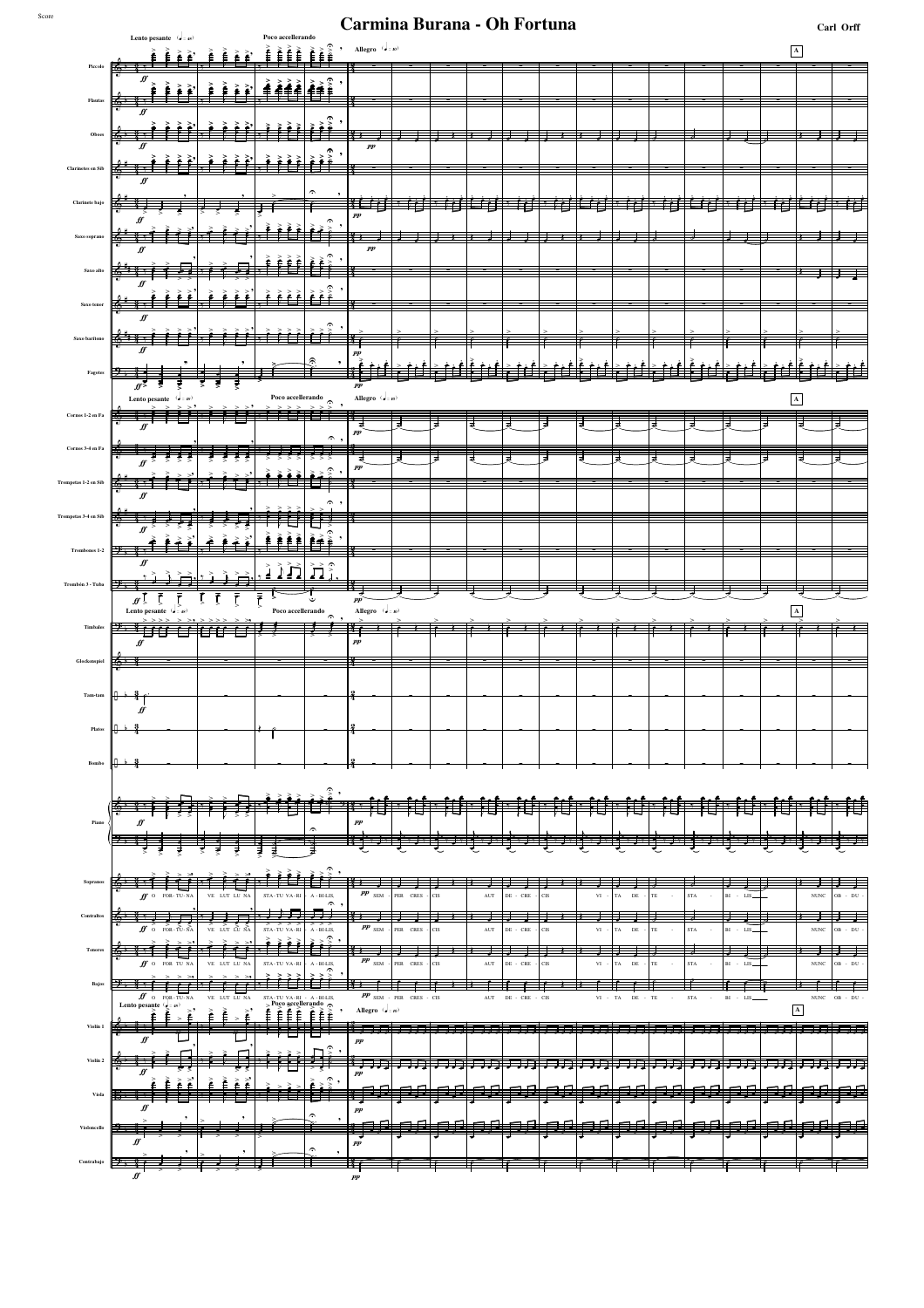## **Carmina Burana • Oh Fortuna Carl Carl Carl** Orff

Score

|                          | Lento pesante $($ <sub>= 48</sub> )                |                                                              | Poco accellerando                                                                                                                                                                                                                                                                                                                                                                                                                                                                                                                                           |                                                                |                                                                   |                                                               |                         |                    |                                     |              |                         |                           |             |              |                      |    |                            | Can Uni                                      |
|--------------------------|----------------------------------------------------|--------------------------------------------------------------|-------------------------------------------------------------------------------------------------------------------------------------------------------------------------------------------------------------------------------------------------------------------------------------------------------------------------------------------------------------------------------------------------------------------------------------------------------------------------------------------------------------------------------------------------------------|----------------------------------------------------------------|-------------------------------------------------------------------|---------------------------------------------------------------|-------------------------|--------------------|-------------------------------------|--------------|-------------------------|---------------------------|-------------|--------------|----------------------|----|----------------------------|----------------------------------------------|
|                          |                                                    |                                                              | ÈÈÈ<br>Ê                                                                                                                                                                                                                                                                                                                                                                                                                                                                                                                                                    | ÈÈ <sup>è</sup>                                                | Allegro $\left(\begin{matrix} 1 & b \\ c & d \end{matrix}\right)$ |                                                               |                         |                    |                                     |              |                         |                           |             |              |                      |    | $\,$ A $\,$                |                                              |
| Piccolo                  |                                                    |                                                              |                                                                                                                                                                                                                                                                                                                                                                                                                                                                                                                                                             |                                                                |                                                                   |                                                               |                         |                    |                                     |              |                         |                           |             |              |                      |    |                            |                                              |
|                          | $\frac{2}{7}$                                      | È<br>$\geq$ $\geq$<br>È                                      | <u>inin</u>                                                                                                                                                                                                                                                                                                                                                                                                                                                                                                                                                 |                                                                |                                                                   |                                                               |                         |                    |                                     |              |                         |                           |             |              |                      |    |                            |                                              |
| Flautas                  | ff                                                 |                                                              |                                                                                                                                                                                                                                                                                                                                                                                                                                                                                                                                                             |                                                                |                                                                   |                                                               |                         |                    |                                     |              |                         |                           |             |              |                      |    |                            |                                              |
|                          |                                                    |                                                              |                                                                                                                                                                                                                                                                                                                                                                                                                                                                                                                                                             | $\overline{\cdot}$ :                                           |                                                                   |                                                               |                         |                    |                                     |              |                         |                           |             |              |                      |    |                            |                                              |
| Oboes                    | ff                                                 |                                                              |                                                                                                                                                                                                                                                                                                                                                                                                                                                                                                                                                             |                                                                | $_{pp}$                                                           |                                                               |                         |                    |                                     |              |                         |                           |             |              |                      |    |                            |                                              |
| <b>Clarinetes</b> en Sib |                                                    |                                                              |                                                                                                                                                                                                                                                                                                                                                                                                                                                                                                                                                             | $\stackrel{\cdot}{\oplus}$                                     |                                                                   |                                                               |                         |                    |                                     |              |                         |                           |             |              |                      |    |                            |                                              |
|                          | ff                                                 |                                                              |                                                                                                                                                                                                                                                                                                                                                                                                                                                                                                                                                             |                                                                |                                                                   |                                                               |                         |                    |                                     |              |                         |                           |             |              |                      |    |                            |                                              |
|                          |                                                    |                                                              |                                                                                                                                                                                                                                                                                                                                                                                                                                                                                                                                                             | $\hat{\phantom{a}}$                                            |                                                                   |                                                               |                         |                    |                                     |              |                         |                           |             |              |                      |    |                            |                                              |
| Clarinete bajo           | ff                                                 |                                                              |                                                                                                                                                                                                                                                                                                                                                                                                                                                                                                                                                             |                                                                | $_{pp}$                                                           |                                                               |                         |                    |                                     |              |                         |                           |             |              |                      |    |                            | f.                                           |
| Saxo soprano             |                                                    |                                                              |                                                                                                                                                                                                                                                                                                                                                                                                                                                                                                                                                             | $\hat{\cdot}$                                                  |                                                                   |                                                               |                         |                    |                                     |              |                         |                           |             |              |                      |    |                            |                                              |
|                          | ff                                                 |                                                              |                                                                                                                                                                                                                                                                                                                                                                                                                                                                                                                                                             |                                                                | $p\bar{p}$                                                        |                                                               |                         |                    |                                     |              |                         |                           |             |              |                      |    |                            |                                              |
| Saxo alto                |                                                    |                                                              |                                                                                                                                                                                                                                                                                                                                                                                                                                                                                                                                                             | $\hat{\cdot}$                                                  |                                                                   |                                                               |                         |                    |                                     |              |                         |                           |             |              |                      |    |                            |                                              |
|                          | ff                                                 |                                                              |                                                                                                                                                                                                                                                                                                                                                                                                                                                                                                                                                             |                                                                |                                                                   |                                                               |                         |                    |                                     |              |                         |                           |             |              |                      |    |                            |                                              |
| Saxo tenor               |                                                    |                                                              |                                                                                                                                                                                                                                                                                                                                                                                                                                                                                                                                                             | $\geq \frac{2}{5}$                                             |                                                                   |                                                               |                         |                    |                                     |              |                         |                           |             |              |                      |    |                            |                                              |
|                          | ff                                                 |                                                              |                                                                                                                                                                                                                                                                                                                                                                                                                                                                                                                                                             |                                                                |                                                                   |                                                               |                         |                    |                                     |              |                         |                           |             |              |                      |    |                            |                                              |
| Saxo barítono            |                                                    |                                                              |                                                                                                                                                                                                                                                                                                                                                                                                                                                                                                                                                             | $\hat{\cdot}$                                                  |                                                                   |                                                               |                         |                    |                                     |              |                         |                           |             |              |                      |    |                            |                                              |
|                          | €<br>∬                                             |                                                              |                                                                                                                                                                                                                                                                                                                                                                                                                                                                                                                                                             |                                                                | $_{pp}$                                                           |                                                               |                         |                    |                                     |              |                         |                           |             |              |                      |    |                            |                                              |
| Fagotes                  |                                                    |                                                              |                                                                                                                                                                                                                                                                                                                                                                                                                                                                                                                                                             | ε                                                              |                                                                   |                                                               |                         |                    |                                     |              |                         |                           |             |              |                      |    |                            |                                              |
|                          | ௺                                                  |                                                              |                                                                                                                                                                                                                                                                                                                                                                                                                                                                                                                                                             |                                                                | pp                                                                |                                                               |                         |                    |                                     |              |                         |                           |             |              |                      |    |                            |                                              |
|                          | Lento pesante                                      |                                                              | Poco accellerando                                                                                                                                                                                                                                                                                                                                                                                                                                                                                                                                           |                                                                | Allegro $\begin{pmatrix} 1 & 0 \\ 0 & 1 \end{pmatrix}$            |                                                               |                         |                    |                                     |              |                         |                           |             |              |                      |    | $\,$ A $\,$                |                                              |
| Cornos 1-2 en Fa         | <b>.</b><br><u>.</u>                               | $\bullet$ $\bullet$ $\bullet$ $\bullet$                      |                                                                                                                                                                                                                                                                                                                                                                                                                                                                                                                                                             | $\overline{\phantom{a}}$                                       |                                                                   |                                                               |                         |                    |                                     |              |                         |                           |             | ч            | ₹                    | ⋣  |                            |                                              |
|                          |                                                    |                                                              |                                                                                                                                                                                                                                                                                                                                                                                                                                                                                                                                                             | $\hat{ }$                                                      | $_{pp}$                                                           |                                                               |                         |                    |                                     |              |                         |                           |             |              |                      |    |                            |                                              |
| Cornos 3-4 en Fa         |                                                    |                                                              |                                                                                                                                                                                                                                                                                                                                                                                                                                                                                                                                                             |                                                                |                                                                   |                                                               |                         |                    |                                     |              |                         |                           |             |              |                      |    |                            |                                              |
|                          | f f                                                |                                                              |                                                                                                                                                                                                                                                                                                                                                                                                                                                                                                                                                             | $\widehat{\cdot}$                                              | $\boldsymbol{pp}$                                                 |                                                               |                         |                    |                                     |              |                         |                           |             |              |                      |    |                            |                                              |
| Trompetas 1-2 en Sib     | €.                                                 |                                                              |                                                                                                                                                                                                                                                                                                                                                                                                                                                                                                                                                             |                                                                |                                                                   |                                                               |                         |                    |                                     |              |                         |                           |             |              |                      |    |                            |                                              |
|                          | ff                                                 |                                                              |                                                                                                                                                                                                                                                                                                                                                                                                                                                                                                                                                             | $\hat{\phantom{a}}$                                            |                                                                   |                                                               |                         |                    |                                     |              |                         |                           |             |              |                      |    |                            |                                              |
| Trompetas 3-4 en Sib     |                                                    |                                                              |                                                                                                                                                                                                                                                                                                                                                                                                                                                                                                                                                             |                                                                |                                                                   |                                                               |                         |                    |                                     |              |                         |                           |             |              |                      |    |                            |                                              |
|                          | ff                                                 |                                                              | ÈÈÈ                                                                                                                                                                                                                                                                                                                                                                                                                                                                                                                                                         | Ŭ<br>Ë                                                         |                                                                   |                                                               |                         |                    |                                     |              |                         |                           |             |              |                      |    |                            |                                              |
| Trombones 1-2            | ÷,                                                 |                                                              |                                                                                                                                                                                                                                                                                                                                                                                                                                                                                                                                                             |                                                                |                                                                   |                                                               |                         |                    |                                     |              |                         |                           |             |              |                      |    |                            |                                              |
|                          | ff                                                 |                                                              | ا <del>ن</del> آرَ زَ                                                                                                                                                                                                                                                                                                                                                                                                                                                                                                                                       | ÌÎ                                                             |                                                                   |                                                               |                         |                    |                                     |              |                         |                           |             |              |                      |    |                            |                                              |
| n 3 - Tuba               |                                                    |                                                              |                                                                                                                                                                                                                                                                                                                                                                                                                                                                                                                                                             |                                                                |                                                                   |                                                               |                         |                    |                                     |              |                         |                           |             |              |                      |    |                            |                                              |
|                          | $\mathcal{L}$<br>Ţ                                 |                                                              |                                                                                                                                                                                                                                                                                                                                                                                                                                                                                                                                                             |                                                                |                                                                   |                                                               |                         |                    |                                     |              |                         |                           |             |              |                      |    |                            |                                              |
|                          |                                                    |                                                              |                                                                                                                                                                                                                                                                                                                                                                                                                                                                                                                                                             | ت                                                              | $_{pp}$                                                           |                                                               |                         |                    |                                     |              |                         |                           |             |              |                      |    |                            |                                              |
|                          | Lento pesante $($ - $45)$                          |                                                              | Poco accellerando                                                                                                                                                                                                                                                                                                                                                                                                                                                                                                                                           | $\sim$                                                         | Allegro $\overline{(\bullet - \omega)}$                           |                                                               |                         |                    |                                     |              |                         |                           |             |              |                      |    | $\boxed{A}$                |                                              |
| Timbales                 | $\blacksquare$                                     |                                                              |                                                                                                                                                                                                                                                                                                                                                                                                                                                                                                                                                             |                                                                | $\boldsymbol{p}$                                                  |                                                               |                         |                    |                                     |              |                         |                           |             |              |                      |    |                            |                                              |
|                          | $f\!f$                                             |                                                              |                                                                                                                                                                                                                                                                                                                                                                                                                                                                                                                                                             |                                                                |                                                                   |                                                               |                         |                    |                                     |              |                         |                           |             |              |                      |    |                            |                                              |
| Glockenspiel             |                                                    |                                                              |                                                                                                                                                                                                                                                                                                                                                                                                                                                                                                                                                             |                                                                |                                                                   |                                                               |                         |                    |                                     |              |                         |                           |             |              |                      |    |                            |                                              |
|                          |                                                    |                                                              |                                                                                                                                                                                                                                                                                                                                                                                                                                                                                                                                                             |                                                                |                                                                   |                                                               |                         |                    |                                     |              |                         |                           |             |              |                      |    |                            |                                              |
| Tam-tam                  | ₩                                                  |                                                              |                                                                                                                                                                                                                                                                                                                                                                                                                                                                                                                                                             |                                                                |                                                                   |                                                               |                         |                    |                                     |              |                         |                           |             |              |                      |    |                            |                                              |
|                          | ∬                                                  |                                                              |                                                                                                                                                                                                                                                                                                                                                                                                                                                                                                                                                             |                                                                |                                                                   |                                                               |                         |                    |                                     |              |                         |                           |             |              |                      |    |                            |                                              |
|                          |                                                    |                                                              |                                                                                                                                                                                                                                                                                                                                                                                                                                                                                                                                                             |                                                                |                                                                   |                                                               |                         |                    |                                     |              |                         |                           |             |              |                      |    |                            |                                              |
|                          |                                                    |                                                              |                                                                                                                                                                                                                                                                                                                                                                                                                                                                                                                                                             |                                                                |                                                                   |                                                               |                         |                    |                                     |              |                         |                           |             |              |                      |    |                            |                                              |
| Bombo                    |                                                    |                                                              |                                                                                                                                                                                                                                                                                                                                                                                                                                                                                                                                                             |                                                                |                                                                   |                                                               |                         |                    |                                     |              |                         |                           |             |              |                      |    |                            |                                              |
|                          |                                                    |                                                              |                                                                                                                                                                                                                                                                                                                                                                                                                                                                                                                                                             | $\widehat{\cdot}$<br>$, \,$                                    |                                                                   |                                                               |                         |                    |                                     |              |                         |                           |             |              |                      |    |                            |                                              |
|                          |                                                    |                                                              |                                                                                                                                                                                                                                                                                                                                                                                                                                                                                                                                                             |                                                                |                                                                   |                                                               |                         |                    |                                     |              |                         |                           |             |              |                      |    |                            |                                              |
| Piano                    |                                                    |                                                              |                                                                                                                                                                                                                                                                                                                                                                                                                                                                                                                                                             |                                                                | $p\bar{p}$                                                        |                                                               |                         |                    |                                     |              |                         |                           |             |              |                      |    |                            |                                              |
|                          | ⇒                                                  |                                                              |                                                                                                                                                                                                                                                                                                                                                                                                                                                                                                                                                             |                                                                |                                                                   |                                                               |                         |                    |                                     |              |                         |                           |             |              |                      |    |                            |                                              |
|                          |                                                    |                                                              |                                                                                                                                                                                                                                                                                                                                                                                                                                                                                                                                                             |                                                                |                                                                   |                                                               |                         |                    |                                     |              |                         |                           |             |              |                      |    |                            |                                              |
|                          | €₹∓                                                | . .                                                          | ≏                                                                                                                                                                                                                                                                                                                                                                                                                                                                                                                                                           | $\hat{\cdot}$<br>≠                                             |                                                                   |                                                               |                         |                    |                                     |              |                         |                           |             |              |                      |    |                            |                                              |
| Sopranos                 | $f f$ O FOR-TU-NA                                  | VE LUT LU NA                                                 | STA-TU VA-RI                                                                                                                                                                                                                                                                                                                                                                                                                                                                                                                                                | $A - B14.1S$ ,                                                 | $I\!\!P\!P_{\rm SEM}$                                             | PER CRES                                                      | $_{\text{CIS}}$         | $_{\rm AUT}$       | $DE - CRE$                          | $_{\rm CIS}$ | $_{\rm VI}$             | TA<br>$_{\rm DE}$         | TE          | $_{\rm STA}$ | BI - LIS_            |    | $_{\rm NUNC}$              | $\rm OB$ . $\rm DU$                          |
|                          |                                                    | $\overline{\phantom{0}}$                                     |                                                                                                                                                                                                                                                                                                                                                                                                                                                                                                                                                             | $\hat{\phantom{a}}$                                            |                                                                   |                                                               |                         |                    |                                     |              |                         |                           |             |              |                      |    |                            |                                              |
| Contraltos               | $FOR - TU - NA$<br>ff<br>$\rm _O$                  | $\sum_{\text{VE-LUT}}^> \sum_{\text{LU}}^> \sum_{\text{NA}}$ | $\overline{\phantom{a}}$<br>$>$ > > ><br>STA-TU VA-RI                                                                                                                                                                                                                                                                                                                                                                                                                                                                                                       | $\overline{\phantom{a}}$<br>$\mathbf{A}$ - BI-LIS,             | $I\!\!P\!P$ $_{\rm SEM}$                                          | $PER$ $\quad$ $CRES$                                          | CIS                     | $\mathop{\rm AUT}$ | $\rm DE$ - $\rm CRE$                | $_{\rm CIS}$ | $_{\rm VI}$             | $\mathrm{TA}$<br>$\,$ DE  | $_{\rm TE}$ | $_{\rm STA}$ | $BI - LIS$           |    | $_{\rm NUNC}$              | $\rm OB$ - $\rm DU$                          |
|                          | -<br>≠                                             | ⋍                                                            | j,<br>$\geq$                                                                                                                                                                                                                                                                                                                                                                                                                                                                                                                                                | $\hat{\mathbb{C}}$<br>$\geq$<br>$\overline{\phantom{a}}$<br>≛≠ |                                                                   |                                                               |                         |                    |                                     |              |                         |                           |             |              |                      |    |                            |                                              |
| Tenores                  | $f f$ o for tuna                                   | VE LUT LU NA                                                 | STA-TU VA-RI                                                                                                                                                                                                                                                                                                                                                                                                                                                                                                                                                | $A - B14.1S,$                                                  | $p\bar{p}$<br>SEM                                                 | PER CRES                                                      | $\overline{\text{cis}}$ | $\mathop{\rm AUT}$ | $\rm{DE}$ - $\rm{CRE}$              | <b>CIS</b>   | $\rm VI$ .              | TA<br>$_{\rm DE}$         | TE          | $_{\rm STA}$ | BI - LIS.            |    | $\ensuremath{\text{NUNC}}$ | $\rm OB$ - $\rm DU$                          |
|                          |                                                    |                                                              |                                                                                                                                                                                                                                                                                                                                                                                                                                                                                                                                                             | $\frac{1}{2}$                                                  |                                                                   |                                                               |                         |                    |                                     |              |                         |                           |             |              |                      |    |                            |                                              |
| Bajos                    | <del>्र</del><br>ਵਿ≓<br>$f f$ o FOR TU NA          | €<br>VE LUT LU NA                                            |                                                                                                                                                                                                                                                                                                                                                                                                                                                                                                                                                             |                                                                |                                                                   | $I\!\!P\!\!P$ sem $\,$ .<br><br>PER $\,$ CRES $\,$ - $\,$ CIS |                         | $\mathop{\rm AUT}$ | $\rm{DE}$ - $\rm{CRE}$ - $\rm{CIS}$ |              | $\rm VI$ $\,$ - $\,$ TA | $\rm DE$ $\cdot$ $\rm TE$ |             | $_{\rm STA}$ | $\rm BI$<br>$-$ LIS. |    |                            | €<br>$\text{NUNC} = \text{OB} + \text{DU}$ . |
|                          | Lento pesante $($ = 48)<br>$\rightarrow$<br>ź<br>Ê | $\geq$<br>È<br>$\mathbf{>}$                                  |                                                                                                                                                                                                                                                                                                                                                                                                                                                                                                                                                             |                                                                | Allegro $\phi = 10$                                               |                                                               |                         |                    |                                     |              |                         |                           |             |              |                      |    | $\,$ A $\,$                |                                              |
| Violín 1                 | ★                                                  |                                                              | $\begin{array}{c}\n\text{STA-TU VA-RI} \leftarrow \text{A-BI-LS}, \\ \text{Pogo} \text{ accellerando} \leftarrow \text{S} \leftarrow \text{S} \leftarrow \text{S} \leftarrow \text{S} \leftarrow \text{S} \leftarrow \text{S} \leftarrow \text{S} \leftarrow \text{S} \leftarrow \text{S} \leftarrow \text{S} \leftarrow \text{S} \leftarrow \text{S} \leftarrow \text{S} \leftarrow \text{S} \leftarrow \text{S} \leftarrow \text{S} \leftarrow \text{S} \leftarrow \text{S} \leftarrow \text{S} \leftarrow \text{S} \leftarrow \text{S} \leftarrow \text$ |                                                                | اصطب                                                              | ___                                                           |                         | ▅▅                 | اصص                                 | ┱┲┱          |                         | ---------                 |             |              |                      |    |                            |                                              |
|                          | ff                                                 |                                                              |                                                                                                                                                                                                                                                                                                                                                                                                                                                                                                                                                             |                                                                | $p\bar{p}$                                                        |                                                               |                         |                    |                                     |              |                         |                           |             |              |                      |    |                            |                                              |
| Violín $2\,$             |                                                    |                                                              |                                                                                                                                                                                                                                                                                                                                                                                                                                                                                                                                                             | $\hat{\mathcal{L}}$<br>−                                       | ग्राम                                                             | カカ                                                            |                         |                    |                                     |              |                         |                           |             | ∃न           | नम                   |    |                            |                                              |
|                          | ff                                                 | è                                                            |                                                                                                                                                                                                                                                                                                                                                                                                                                                                                                                                                             | रृ<br>$\hat{\cdot}$                                            | $p\bar{p}$                                                        |                                                               |                         |                    |                                     |              |                         |                           |             |              |                      |    | 万万万万                       | जिम                                          |
| Viola                    | $\geq$                                             | È<br>$\sum_{i=1}^{n}$<br>ř                                   |                                                                                                                                                                                                                                                                                                                                                                                                                                                                                                                                                             |                                                                | 珥                                                                 | ⋣≠                                                            | ≢                       | 丰田                 | ≢≢                                  | ⋣⋣           | ≢≠                      | ≢                         | ≢           |              | ≢⊒                   | ⋽⋣ | ≢स                         | ⋽⋣                                           |
|                          | ff                                                 |                                                              |                                                                                                                                                                                                                                                                                                                                                                                                                                                                                                                                                             | ⌒                                                              | $p\bar{p}$                                                        |                                                               |                         |                    |                                     |              |                         |                           |             |              |                      |    |                            |                                              |
| Violoncello              |                                                    |                                                              |                                                                                                                                                                                                                                                                                                                                                                                                                                                                                                                                                             |                                                                | $\frac{1}{2}$                                                     | ▅                                                             | ≖                       | ≖                  | ₩                                   | ≖            | ▅                       | ₩                         | ⋤           | ਚ≠           | ₩₩                   | ਤ  | ਤ                          | ▛                                            |
|                          | ff                                                 |                                                              |                                                                                                                                                                                                                                                                                                                                                                                                                                                                                                                                                             |                                                                | $\frac{1}{p^p}$                                                   |                                                               |                         |                    |                                     |              |                         |                           |             |              |                      |    |                            |                                              |
| Contrabajo               | 巴<br>$f\hspace{-0.1cm}f$                           |                                                              |                                                                                                                                                                                                                                                                                                                                                                                                                                                                                                                                                             |                                                                |                                                                   |                                                               |                         |                    |                                     |              |                         |                           |             |              |                      |    |                            |                                              |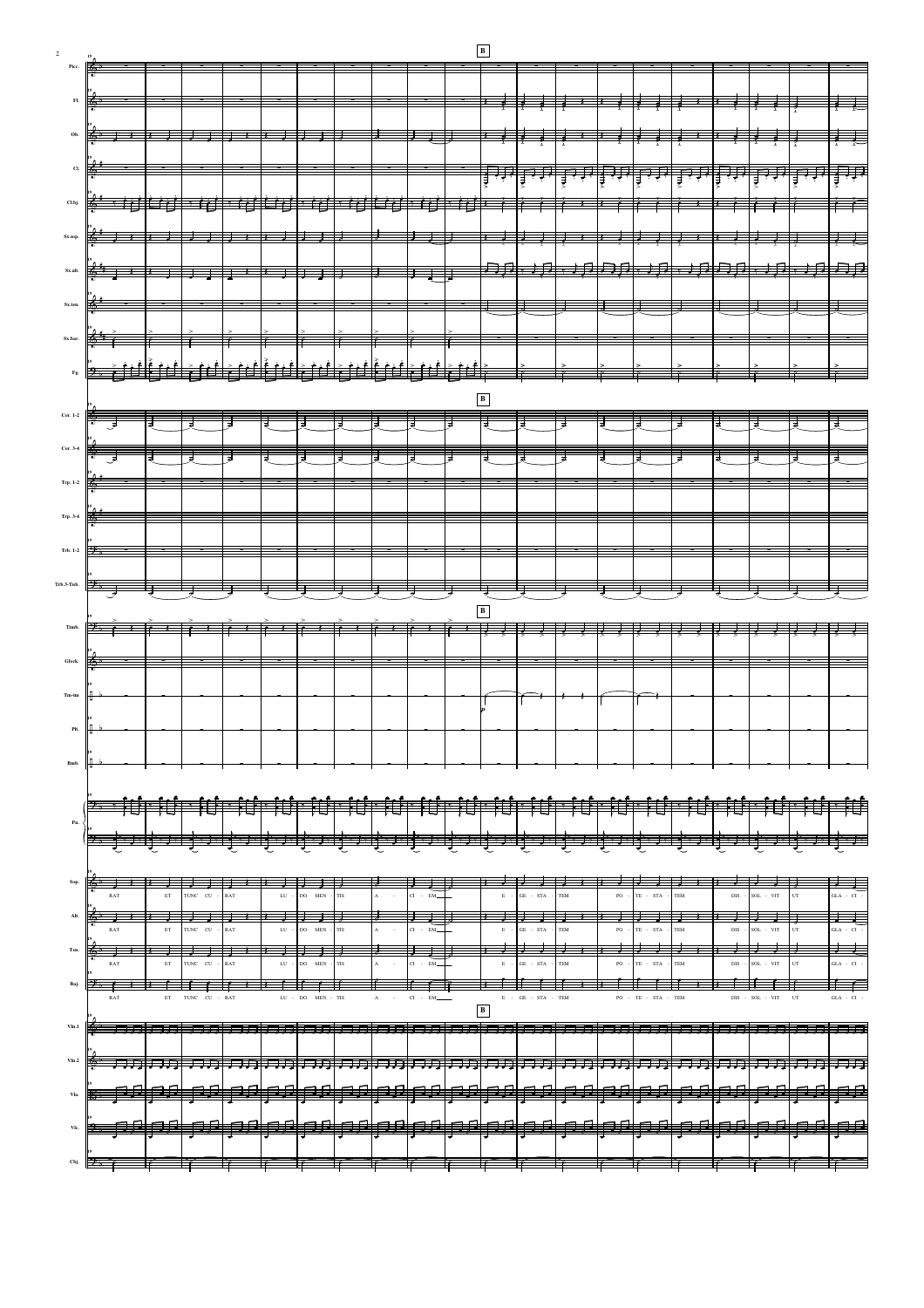| Picc. |                                                                                                                                                                                                                                                                                                                                                                   |                            | _______________                                        |     |            |                                                |     |             | 一                    |                                                                                           |                                                                                                                      |       |                       |     |       |           |    |                                                        |
|-------|-------------------------------------------------------------------------------------------------------------------------------------------------------------------------------------------------------------------------------------------------------------------------------------------------------------------------------------------------------------------|----------------------------|--------------------------------------------------------|-----|------------|------------------------------------------------|-----|-------------|----------------------|-------------------------------------------------------------------------------------------|----------------------------------------------------------------------------------------------------------------------|-------|-----------------------|-----|-------|-----------|----|--------------------------------------------------------|
|       |                                                                                                                                                                                                                                                                                                                                                                   |                            |                                                        |     |            |                                                |     |             |                      |                                                                                           |                                                                                                                      |       |                       |     |       |           |    |                                                        |
|       |                                                                                                                                                                                                                                                                                                                                                                   |                            |                                                        |     |            |                                                |     |             |                      |                                                                                           |                                                                                                                      |       |                       |     |       |           |    |                                                        |
|       | $F1.$ $\sqrt{6}$                                                                                                                                                                                                                                                                                                                                                  |                            |                                                        |     |            |                                                |     |             |                      |                                                                                           | <del>╾╒╂╾╾╤╡╶╴╠╸┇┊┇┊┇┊┸╞╄╶┋┊┋┋┋┋┋</del>                                                                              |       |                       |     |       |           |    |                                                        |
|       |                                                                                                                                                                                                                                                                                                                                                                   |                            |                                                        |     |            |                                                |     |             |                      |                                                                                           |                                                                                                                      |       |                       |     |       |           |    |                                                        |
|       |                                                                                                                                                                                                                                                                                                                                                                   |                            |                                                        |     |            |                                                |     |             |                      |                                                                                           | ┈╠ <del>╪╌┰╼┾╌┰┧┰┰┧┰╼┾╌┰┧┰═┪┹═┿═╈═╪╒┋╄┋┋╿┋╺╒┡┈┋┞┋╺┇┞┈┇╿┋┈╡╿┊┈╿┋╺</del> ┋                                             |       |                       |     |       |           |    |                                                        |
|       |                                                                                                                                                                                                                                                                                                                                                                   |                            |                                                        |     |            |                                                |     |             |                      |                                                                                           |                                                                                                                      |       |                       |     |       |           |    |                                                        |
|       |                                                                                                                                                                                                                                                                                                                                                                   |                            |                                                        |     |            |                                                |     |             |                      |                                                                                           |                                                                                                                      |       |                       |     |       |           |    |                                                        |
|       | $\alpha$ $\mathbb{Z}^2$ $\longrightarrow$                                                                                                                                                                                                                                                                                                                         |                            |                                                        |     |            |                                                |     |             |                      |                                                                                           | ينيه اينيه لينه للمنارين فأرينه النفة اينية إينيا والمساحب المساحب المساحب                                           |       |                       |     |       |           |    |                                                        |
|       |                                                                                                                                                                                                                                                                                                                                                                   |                            |                                                        |     |            |                                                |     |             |                      |                                                                                           |                                                                                                                      |       |                       |     |       |           |    |                                                        |
|       |                                                                                                                                                                                                                                                                                                                                                                   |                            |                                                        |     |            |                                                |     |             |                      |                                                                                           | ः <del> {  = त्योघसी चरी चरीपसी चरीपसी चरीपसी नंति ते ति र ति ती ती ती ता ति ती ती ती ता</del>                       |       |                       |     |       |           |    |                                                        |
|       |                                                                                                                                                                                                                                                                                                                                                                   |                            |                                                        |     |            |                                                |     |             |                      |                                                                                           |                                                                                                                      |       |                       |     |       |           |    |                                                        |
|       |                                                                                                                                                                                                                                                                                                                                                                   |                            |                                                        |     |            |                                                |     |             |                      |                                                                                           |                                                                                                                      |       |                       |     |       |           |    |                                                        |
|       |                                                                                                                                                                                                                                                                                                                                                                   |                            |                                                        |     |            |                                                |     |             |                      |                                                                                           | ▓ <sub>▘</sub> <mark>▓▘▟▁▙▕▟▁▟▕▟▁▟▕▟▁▟▕▟▁▟▕▟▁▁▕▟▁▁▕▟▁▁▊▟▁▔▛▆▗▌▕▌▗▗▕▗▁▗▕▖▗▁▐▖▗▗▏▏▅▕▛▗▗▏▏▁▕▗▔▗▊▁</mark>                |       |                       |     |       |           |    |                                                        |
|       |                                                                                                                                                                                                                                                                                                                                                                   |                            |                                                        |     |            |                                                |     |             |                      |                                                                                           |                                                                                                                      |       |                       |     |       |           |    |                                                        |
|       |                                                                                                                                                                                                                                                                                                                                                                   |                            |                                                        |     |            |                                                |     |             |                      |                                                                                           | امصامت امتصامت امتصامت المتحامية امتصل المستوات المستوات والمستوام والمستعفرة المستحقة                               |       |                       |     |       |           |    |                                                        |
|       |                                                                                                                                                                                                                                                                                                                                                                   |                            |                                                        |     |            |                                                |     |             |                      |                                                                                           |                                                                                                                      |       |                       |     |       |           |    |                                                        |
|       | $S_{x,ten.}$ $\frac{1}{6}$ $\frac{1}{2}$ $\frac{1}{2}$ $\frac{1}{2}$ $\frac{1}{2}$ $\frac{1}{2}$ $\frac{1}{2}$ $\frac{1}{2}$ $\frac{1}{2}$ $\frac{1}{2}$ $\frac{1}{2}$ $\frac{1}{2}$ $\frac{1}{2}$ $\frac{1}{2}$ $\frac{1}{2}$ $\frac{1}{2}$ $\frac{1}{2}$ $\frac{1}{2}$ $\frac{1}{2}$ $\frac{1}{2}$ $\frac{1}{2}$                                                |                            |                                                        |     |            |                                                |     |             |                      |                                                                                           |                                                                                                                      |       |                       |     |       |           |    |                                                        |
|       |                                                                                                                                                                                                                                                                                                                                                                   |                            |                                                        |     |            |                                                |     |             |                      | <del>sa kata ta 1999 (na kata</del>                                                       |                                                                                                                      |       |                       |     |       |           |    | 夫妻子毛头是大男                                               |
|       |                                                                                                                                                                                                                                                                                                                                                                   |                            |                                                        |     |            |                                                |     |             |                      |                                                                                           |                                                                                                                      |       |                       |     |       |           |    |                                                        |
|       | $Sx, bar.$ $\frac{1}{20}$ $\frac{4}{7}$ $\frac{2}{7}$ $\frac{1}{7}$ $\frac{2}{7}$ $\frac{1}{7}$ $\frac{1}{7}$                                                                                                                                                                                                                                                     |                            |                                                        |     |            |                                                |     |             |                      |                                                                                           |                                                                                                                      |       |                       |     |       |           |    | — <del>— — — — — — — — — —</del>                       |
|       |                                                                                                                                                                                                                                                                                                                                                                   |                            |                                                        |     |            |                                                |     |             |                      |                                                                                           |                                                                                                                      |       |                       |     |       |           |    |                                                        |
|       |                                                                                                                                                                                                                                                                                                                                                                   |                            |                                                        |     |            |                                                |     |             |                      |                                                                                           | <u>، وَمَنْ مَا أَنْ يَا مَا أَنْ يَا مَا أَنْ يَا أَنْ يَا أَنْ يَا أَنْ يَا أَنْ يَا أَنْ يَا أَنْ يَا أَنْ يَ</u> |       |                       |     |       |           |    | <u> Hermite Hermite (Andrew Hermite</u>                |
|       |                                                                                                                                                                                                                                                                                                                                                                   |                            |                                                        |     |            |                                                |     |             |                      |                                                                                           |                                                                                                                      |       |                       |     |       |           |    |                                                        |
|       |                                                                                                                                                                                                                                                                                                                                                                   |                            |                                                        |     |            |                                                |     |             | $\boxed{\mathbf{B}}$ |                                                                                           |                                                                                                                      |       |                       |     |       |           |    |                                                        |
|       |                                                                                                                                                                                                                                                                                                                                                                   |                            |                                                        |     |            |                                                |     |             |                      |                                                                                           |                                                                                                                      |       |                       |     |       |           |    |                                                        |
|       | * FILL LILLI                                                                                                                                                                                                                                                                                                                                                      |                            |                                                        |     |            |                                                |     |             |                      | ▜▛▀▛▛▀▛                                                                                   |                                                                                                                      |       | ▐ᢖ                    | 博   |       |           |    | ॑॑॑ <del></del>                                        |
|       |                                                                                                                                                                                                                                                                                                                                                                   |                            |                                                        |     |            |                                                |     |             |                      |                                                                                           |                                                                                                                      |       |                       |     |       |           |    |                                                        |
|       |                                                                                                                                                                                                                                                                                                                                                                   |                            |                                                        |     |            |                                                |     |             |                      |                                                                                           |                                                                                                                      |       |                       |     |       | 1 1 1 1   |    |                                                        |
|       |                                                                                                                                                                                                                                                                                                                                                                   |                            |                                                        |     |            |                                                |     |             |                      |                                                                                           |                                                                                                                      |       |                       |     |       |           |    |                                                        |
|       | Trp. 1-2 $\frac{1}{\sqrt{2}}$                                                                                                                                                                                                                                                                                                                                     |                            |                                                        |     |            |                                                |     |             |                      |                                                                                           |                                                                                                                      |       |                       |     |       |           |    |                                                        |
|       |                                                                                                                                                                                                                                                                                                                                                                   |                            |                                                        |     |            |                                                |     |             |                      |                                                                                           |                                                                                                                      |       |                       |     |       |           |    |                                                        |
|       |                                                                                                                                                                                                                                                                                                                                                                   |                            |                                                        |     |            |                                                |     |             |                      |                                                                                           |                                                                                                                      |       |                       |     |       |           |    |                                                        |
|       | $T_{\rm rp, 3-4}$ $\frac{1}{\sqrt{6}}$ $\frac{1}{\sqrt{6}}$ $\frac{1}{\sqrt{6}}$ $\frac{1}{\sqrt{6}}$ $\frac{1}{\sqrt{6}}$ $\frac{1}{\sqrt{6}}$ $\frac{1}{\sqrt{6}}$ $\frac{1}{\sqrt{6}}$ $\frac{1}{\sqrt{6}}$ $\frac{1}{\sqrt{6}}$ $\frac{1}{\sqrt{6}}$ $\frac{1}{\sqrt{6}}$ $\frac{1}{\sqrt{6}}$ $\frac{1}{\sqrt{6}}$ $\frac{1}{\sqrt{6}}$ $\frac{1}{\sqrt{6}}$ |                            |                                                        |     |            |                                                |     |             |                      |                                                                                           |                                                                                                                      | ————— |                       |     |       |           |    |                                                        |
|       |                                                                                                                                                                                                                                                                                                                                                                   |                            |                                                        |     |            |                                                |     |             |                      |                                                                                           |                                                                                                                      |       |                       |     |       |           |    |                                                        |
|       |                                                                                                                                                                                                                                                                                                                                                                   |                            |                                                        |     |            |                                                |     |             |                      |                                                                                           |                                                                                                                      |       |                       |     |       |           |    |                                                        |
|       |                                                                                                                                                                                                                                                                                                                                                                   |                            |                                                        |     |            |                                                |     |             |                      |                                                                                           |                                                                                                                      |       |                       |     |       |           |    |                                                        |
|       |                                                                                                                                                                                                                                                                                                                                                                   |                            |                                                        |     |            |                                                |     |             |                      |                                                                                           |                                                                                                                      |       |                       |     |       |           |    |                                                        |
|       | Trb.3-Tub. $\boxed{\frac{1}{2}$                                                                                                                                                                                                                                                                                                                                   |                            |                                                        |     |            |                                                |     |             |                      |                                                                                           | <del>ڶᢖ┈╌ݴᢖ┉╌ݴᢖ┈╌┦ᢖ┈┄┦ᢖ┈┄┦ᢖ┈┈┦╗┈┈┦╗┈┉</del> ┦┱                                                                       |       |                       |     |       |           |    | <del>l, J, J, J, J,</del>                              |
|       |                                                                                                                                                                                                                                                                                                                                                                   |                            |                                                        |     |            |                                                |     |             | $\boxed{\mathbf{B}}$ |                                                                                           |                                                                                                                      |       |                       |     |       |           |    |                                                        |
|       |                                                                                                                                                                                                                                                                                                                                                                   |                            |                                                        |     |            |                                                |     |             |                      |                                                                                           |                                                                                                                      |       |                       |     |       |           |    |                                                        |
|       |                                                                                                                                                                                                                                                                                                                                                                   |                            |                                                        |     |            |                                                |     |             |                      |                                                                                           | ▓▓ <u>▓▓<del>▓▓▓▓▓▓▓</del>▓▓▓▓▓▓▓▓▓▓▓▓▓▓▓▓▓▓▓▓▓</u>                                                                  |       |                       |     |       |           |    |                                                        |
|       |                                                                                                                                                                                                                                                                                                                                                                   |                            |                                                        |     |            |                                                |     |             |                      |                                                                                           |                                                                                                                      |       |                       |     |       |           |    |                                                        |
|       |                                                                                                                                                                                                                                                                                                                                                                   |                            |                                                        |     |            |                                                |     |             |                      |                                                                                           |                                                                                                                      |       |                       |     |       |           |    |                                                        |
|       |                                                                                                                                                                                                                                                                                                                                                                   |                            |                                                        |     |            |                                                |     |             |                      |                                                                                           |                                                                                                                      |       |                       |     |       |           |    |                                                        |
| Tm·tm |                                                                                                                                                                                                                                                                                                                                                                   |                            |                                                        |     |            |                                                |     |             |                      |                                                                                           |                                                                                                                      |       |                       |     |       |           |    |                                                        |
|       |                                                                                                                                                                                                                                                                                                                                                                   |                            |                                                        |     |            |                                                |     |             |                      |                                                                                           |                                                                                                                      |       |                       |     |       |           |    |                                                        |
|       |                                                                                                                                                                                                                                                                                                                                                                   |                            |                                                        |     |            |                                                |     |             |                      |                                                                                           |                                                                                                                      |       |                       |     |       |           |    |                                                        |
|       |                                                                                                                                                                                                                                                                                                                                                                   |                            |                                                        |     |            |                                                |     |             |                      |                                                                                           |                                                                                                                      |       |                       |     |       |           |    |                                                        |
|       |                                                                                                                                                                                                                                                                                                                                                                   |                            |                                                        |     |            |                                                |     |             |                      |                                                                                           |                                                                                                                      |       |                       |     |       |           |    |                                                        |
|       |                                                                                                                                                                                                                                                                                                                                                                   |                            |                                                        |     |            |                                                |     |             |                      |                                                                                           |                                                                                                                      |       |                       |     |       |           |    |                                                        |
|       |                                                                                                                                                                                                                                                                                                                                                                   |                            |                                                        |     |            |                                                |     |             |                      |                                                                                           |                                                                                                                      |       |                       |     |       |           |    |                                                        |
|       |                                                                                                                                                                                                                                                                                                                                                                   |                            |                                                        |     |            |                                                |     |             |                      |                                                                                           |                                                                                                                      |       |                       |     |       |           |    |                                                        |
|       |                                                                                                                                                                                                                                                                                                                                                                   |                            |                                                        |     |            |                                                |     |             |                      |                                                                                           |                                                                                                                      |       |                       |     |       |           |    |                                                        |
|       |                                                                                                                                                                                                                                                                                                                                                                   |                            |                                                        |     |            |                                                |     |             |                      |                                                                                           |                                                                                                                      |       |                       |     |       |           |    |                                                        |
|       |                                                                                                                                                                                                                                                                                                                                                                   |                            |                                                        |     |            |                                                |     |             |                      |                                                                                           |                                                                                                                      |       |                       |     |       |           |    |                                                        |
|       |                                                                                                                                                                                                                                                                                                                                                                   |                            |                                                        |     |            |                                                |     |             |                      |                                                                                           |                                                                                                                      |       |                       |     |       |           |    |                                                        |
|       |                                                                                                                                                                                                                                                                                                                                                                   |                            |                                                        |     |            |                                                |     |             |                      |                                                                                           |                                                                                                                      |       |                       |     |       |           |    |                                                        |
|       |                                                                                                                                                                                                                                                                                                                                                                   |                            |                                                        |     |            |                                                |     |             |                      |                                                                                           |                                                                                                                      |       |                       |     |       |           |    |                                                        |
|       |                                                                                                                                                                                                                                                                                                                                                                   |                            |                                                        |     |            |                                                |     |             |                      |                                                                                           |                                                                                                                      |       |                       |     |       |           |    |                                                        |
|       | RAT                                                                                                                                                                                                                                                                                                                                                               |                            |                                                        |     | ${\rm LU}$ | <b>MEN</b><br>DO                               |     | $CI - EM$   |                      | GE - STA                                                                                  | TEM                                                                                                                  | PO    | TE - STA              |     | DIS   | SOL - VIT |    | $GLA$ - $CI$                                           |
| Alt.  |                                                                                                                                                                                                                                                                                                                                                                   |                            |                                                        |     |            |                                                |     |             |                      |                                                                                           |                                                                                                                      |       |                       |     |       |           |    |                                                        |
|       |                                                                                                                                                                                                                                                                                                                                                                   |                            | TUNC CU                                                | RAT | LU         | DO MEN                                         | TIS |             |                      | GE<br>- STA                                                                               | TEM                                                                                                                  |       | TE - STA              | TEM |       | SOL - VIT | UT | $GLA$ - $CI$                                           |
|       |                                                                                                                                                                                                                                                                                                                                                                   |                            |                                                        |     |            |                                                |     |             |                      |                                                                                           |                                                                                                                      |       |                       |     |       |           |    |                                                        |
| Ten.  |                                                                                                                                                                                                                                                                                                                                                                   |                            |                                                        |     |            |                                                |     |             |                      |                                                                                           |                                                                                                                      |       |                       |     |       |           |    |                                                        |
|       | RAT                                                                                                                                                                                                                                                                                                                                                               | $\mathop{\rm ET}\nolimits$ | TUNC CU                                                | RAT | LU         | $\rm{DO}$ $ \rm{MEN}$                          | TIS | $CI - EM$   |                      | $GE$ - $STA$                                                                              | TEM                                                                                                                  | PO.   | $\rm TE$ - $\rm STA$  | TEM | DIS   | SOL - VIT | UT | $GLA + Cl$ .                                           |
| Baj.  |                                                                                                                                                                                                                                                                                                                                                                   |                            |                                                        |     |            |                                                |     |             |                      |                                                                                           |                                                                                                                      |       |                       |     |       |           |    |                                                        |
|       |                                                                                                                                                                                                                                                                                                                                                                   |                            | $ET$ $ TUNC$ $ CU$ $ \cdot$ $RAT$                      |     |            | ${\rm LU}$ - ${\rm DO}$ $\;$ MEN - ${\rm TIS}$ |     | $\rm CI-$ . |                      | $E \quad \cdot \quad \text{GE} \quad \cdot \quad \text{STA} \quad \cdot \quad \text{TEM}$ |                                                                                                                      |       | $PO - TE - STA - TEM$ |     | DIS - | SOL - VIT | UT | $\operatorname{GLA}$ $\,$ - $\operatorname{CI}$ $\,$ - |
|       | RAT                                                                                                                                                                                                                                                                                                                                                               |                            |                                                        |     |            |                                                |     |             | $\vert$ B            |                                                                                           |                                                                                                                      |       |                       |     |       |           |    |                                                        |
|       |                                                                                                                                                                                                                                                                                                                                                                   |                            |                                                        |     |            |                                                |     |             |                      |                                                                                           |                                                                                                                      |       |                       |     |       |           |    |                                                        |
| Vln.1 |                                                                                                                                                                                                                                                                                                                                                                   |                            |                                                        |     |            |                                                |     |             |                      |                                                                                           |                                                                                                                      |       |                       |     |       |           |    |                                                        |
|       |                                                                                                                                                                                                                                                                                                                                                                   |                            | امصام فالمصامصات فالمصابعة وامصابعها فاقتصادها امصاديه |     |            |                                                |     |             |                      |                                                                                           |                                                                                                                      |       |                       |     |       |           |    | ;=};{\$=\$;!!=;;{\$=\$;!\$=\$;!\$=;;                   |
|       |                                                                                                                                                                                                                                                                                                                                                                   |                            |                                                        |     |            |                                                |     |             |                      |                                                                                           |                                                                                                                      |       |                       |     |       |           |    |                                                        |
| Vln.2 |                                                                                                                                                                                                                                                                                                                                                                   |                            |                                                        |     |            |                                                |     |             |                      |                                                                                           | مصارمها مصاحبها مصاحبها والمساحي والمصاحب والمستراق والمستراه والمسترا والمساري                                      |       |                       |     |       |           |    |                                                        |
|       |                                                                                                                                                                                                                                                                                                                                                                   |                            |                                                        |     |            |                                                |     |             |                      |                                                                                           |                                                                                                                      |       |                       |     |       |           |    |                                                        |
| Vla.  |                                                                                                                                                                                                                                                                                                                                                                   | <b>JAHRI 2012</b>          |                                                        |     |            |                                                |     |             |                      | 77 - 77 - 77 - 77 - 77 - 77 - 77 -                                                        | ≢≢                                                                                                                   |       | माम                   | चच  | ⊐≠≠   | ╒╕        |    |                                                        |
|       |                                                                                                                                                                                                                                                                                                                                                                   |                            |                                                        |     |            |                                                |     |             |                      |                                                                                           |                                                                                                                      |       |                       |     |       |           |    |                                                        |
|       |                                                                                                                                                                                                                                                                                                                                                                   |                            |                                                        |     |            |                                                |     |             |                      |                                                                                           |                                                                                                                      |       |                       |     |       |           |    |                                                        |
| Vk.   |                                                                                                                                                                                                                                                                                                                                                                   |                            |                                                        |     |            | म्य निर्म                                      |     |             |                      |                                                                                           | <u>1943 - Johann Starbjer (Johann Starbjer</u>                                                                       |       |                       |     |       |           |    |                                                        |
|       |                                                                                                                                                                                                                                                                                                                                                                   |                            |                                                        |     |            |                                                |     |             |                      |                                                                                           |                                                                                                                      |       |                       |     |       |           |    |                                                        |

**B**

 $\overline{2}$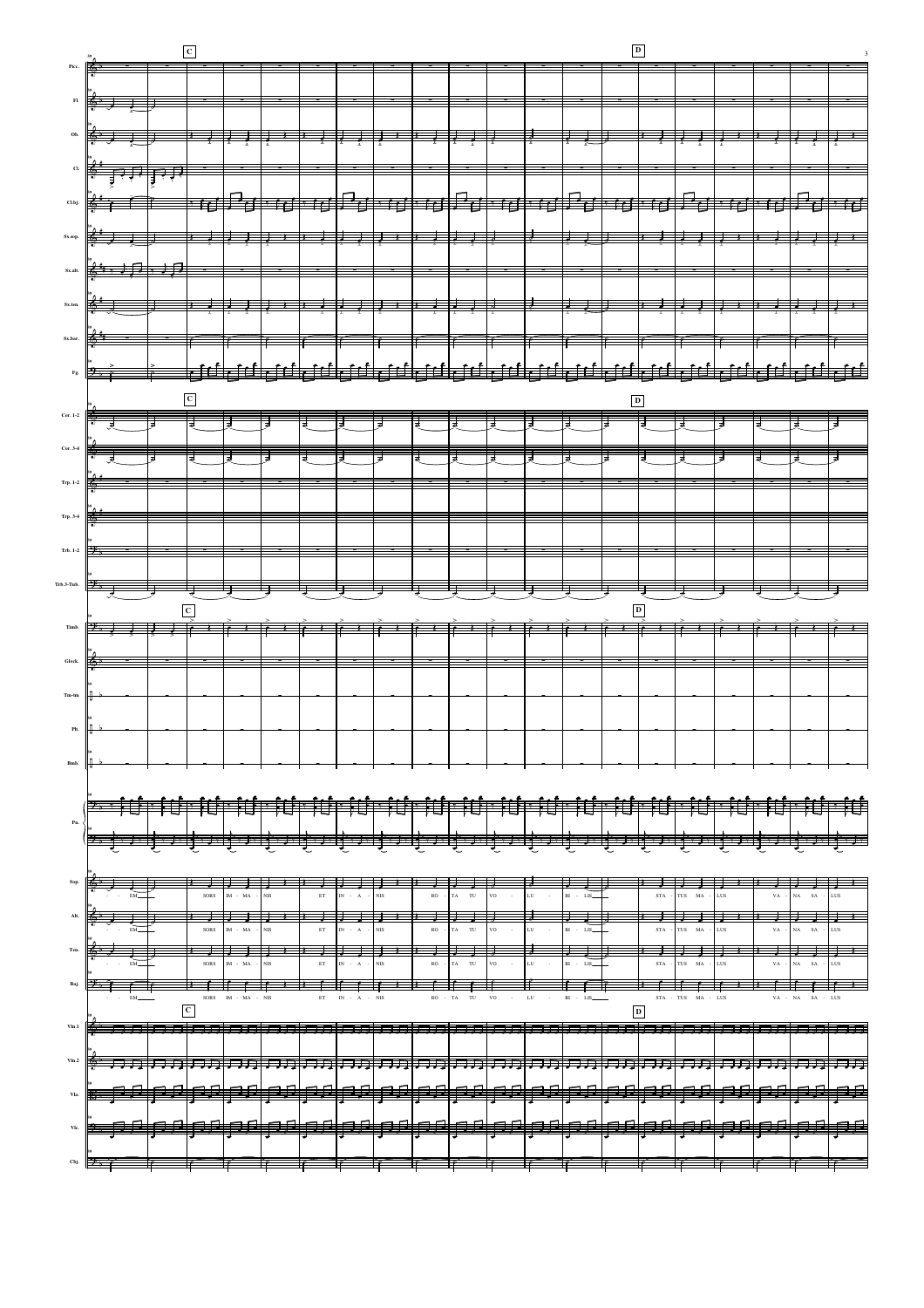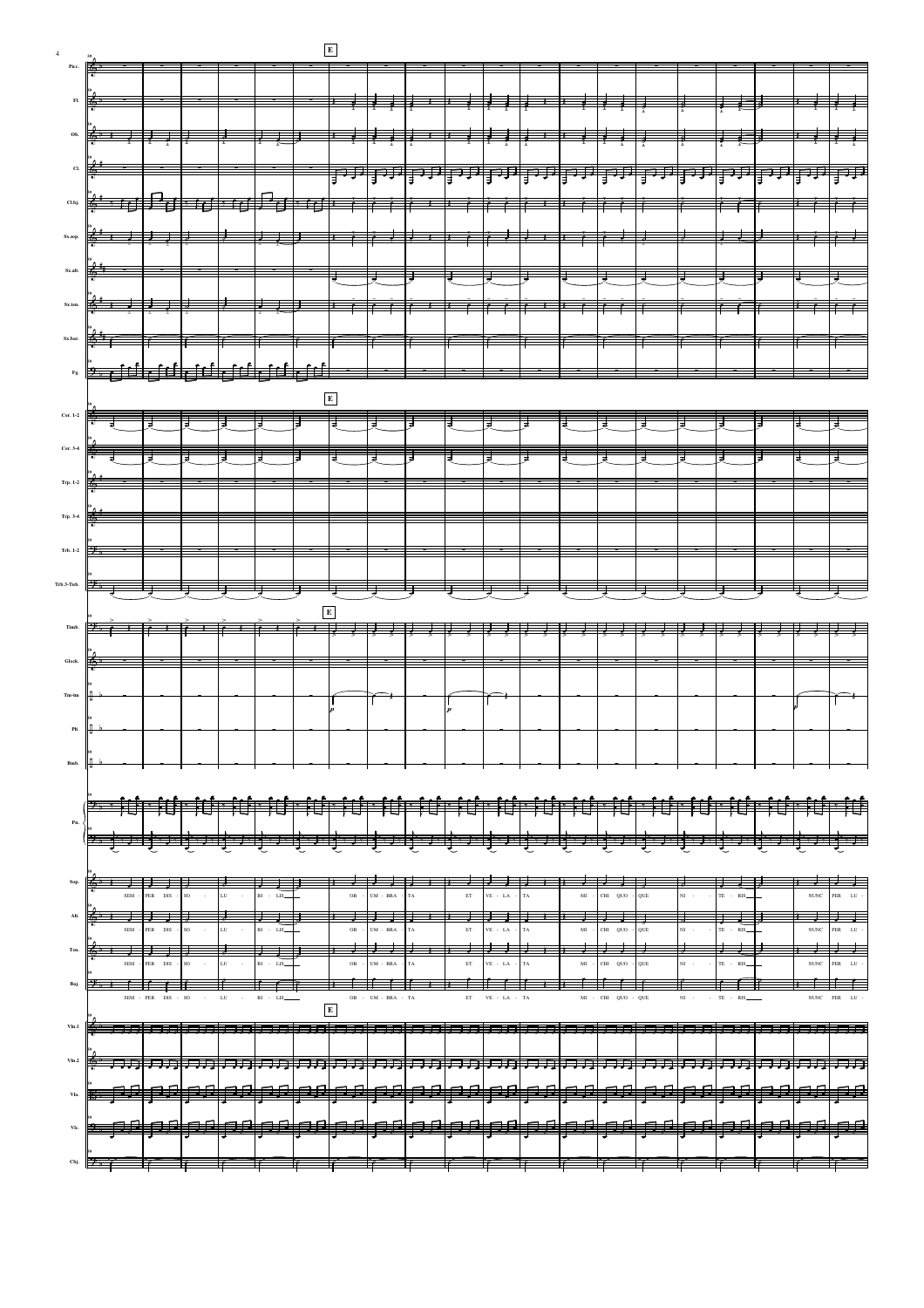**E**

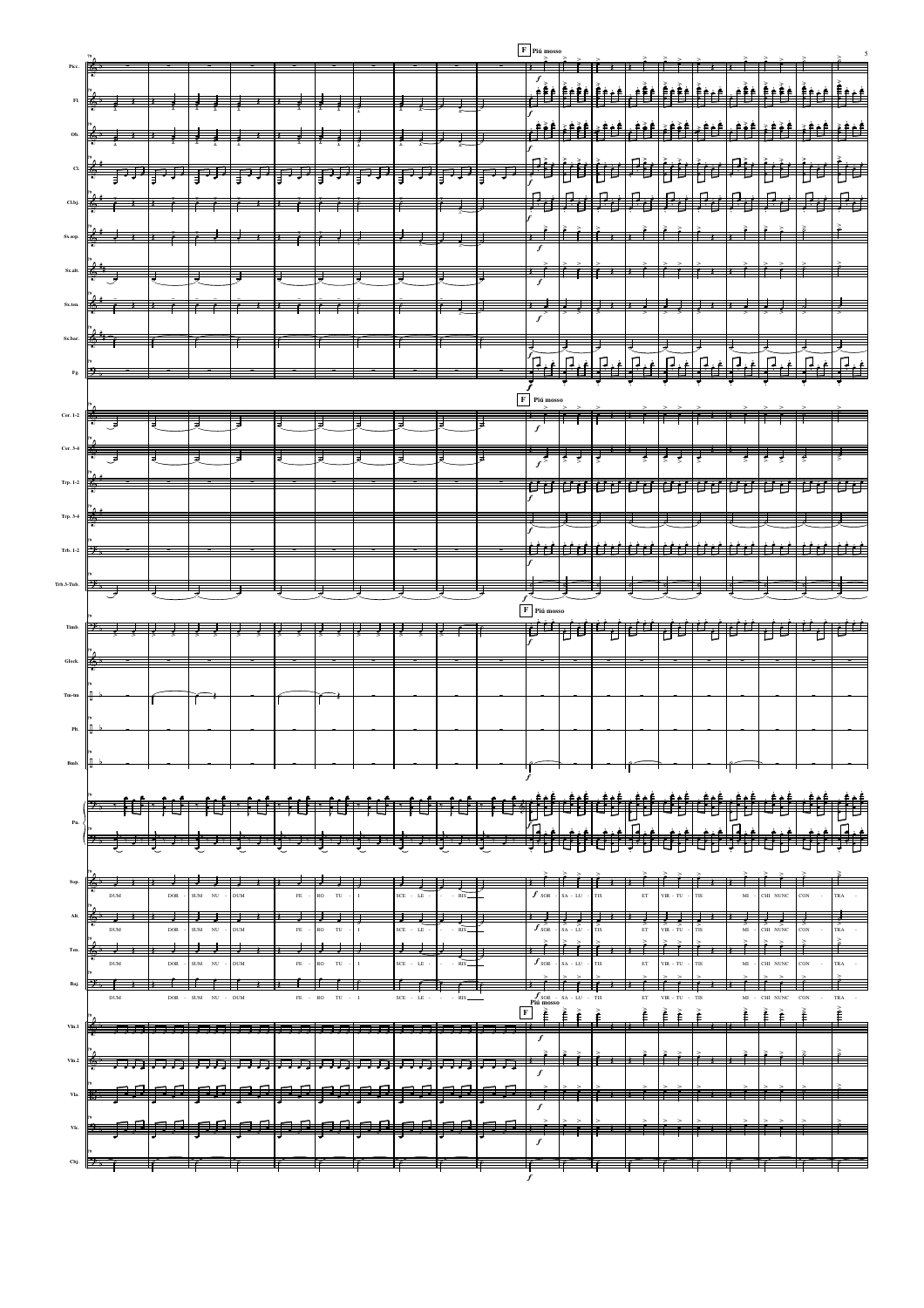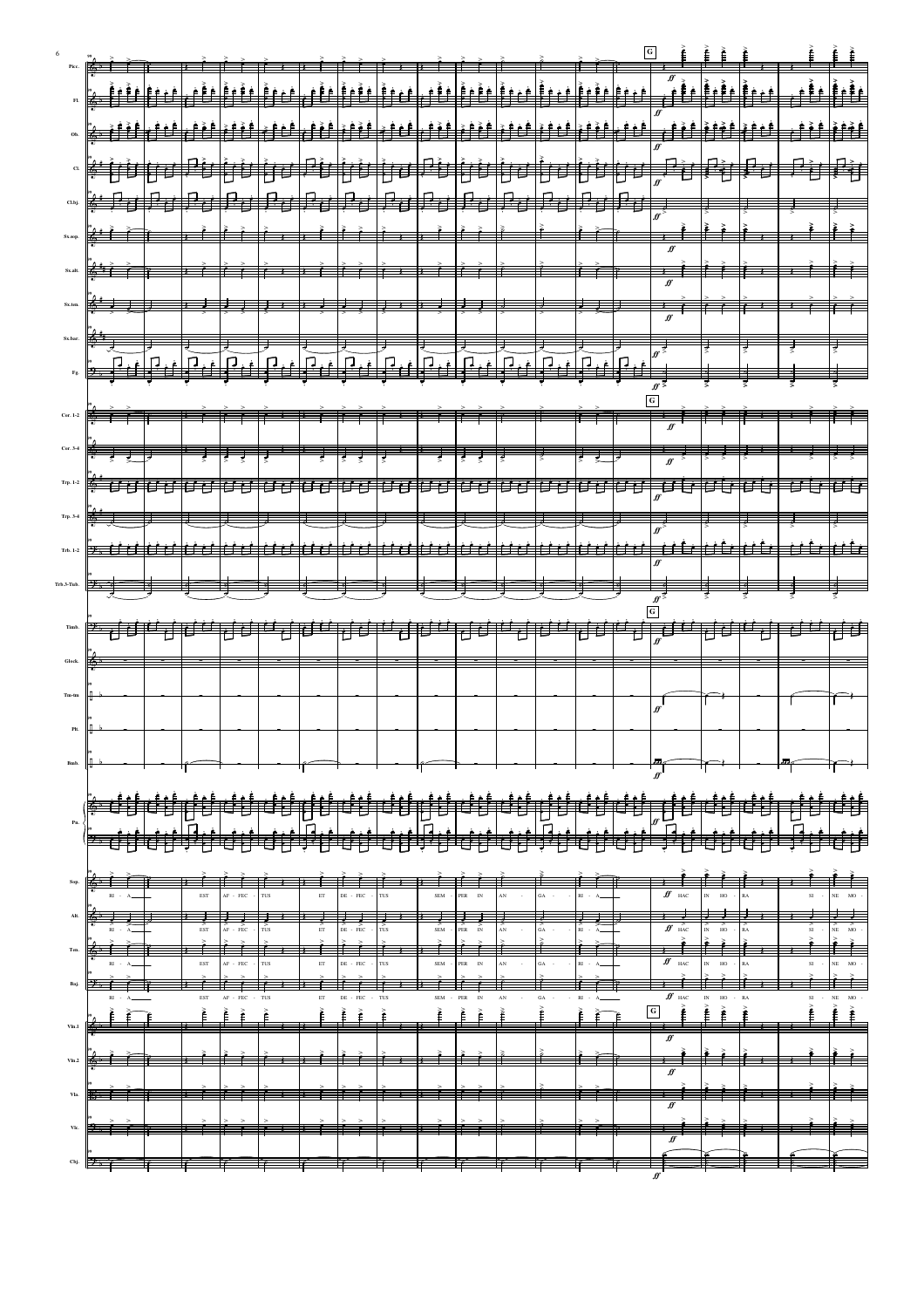|                         |                                     |        |                 |                          |                  |                                                                                                          |                            |                          |     |            |                  |    |    |  | $\boxed{\mathbf{G}}$                   |                          |                    |           |                              |                |
|-------------------------|-------------------------------------|--------|-----------------|--------------------------|------------------|----------------------------------------------------------------------------------------------------------|----------------------------|--------------------------|-----|------------|------------------|----|----|--|----------------------------------------|--------------------------|--------------------|-----------|------------------------------|----------------|
|                         |                                     |        | <u>Ffilfrel</u> |                          |                  | بِمَوْرَةً فَقَالَةً مَعْهَ بِمَقْدَاةً مَقْدَ فَيَمْ وَعَلَّمَ فَقَالَةً مَعَنَّةً فَعَلَّةً مَعْ أَفقت |                            |                          |     |            |                  |    |    |  |                                        |                          |                    |           |                              | <u>efelete</u> |
| $\mathbf{Fl}$           |                                     |        |                 |                          |                  |                                                                                                          |                            |                          |     |            |                  |    |    |  |                                        |                          |                    |           |                              |                |
| Ob.                     |                                     |        |                 |                          |                  | <u>  1314  1314  1314  1314  1314  1314  1314  1314  1314  1314  1314  1314  1314</u>                    |                            |                          |     |            |                  |    |    |  |                                        |                          |                    |           | <del>a bhionn an chuir</del> |                |
| $_{\rm CL}$             |                                     |        |                 |                          |                  | فينفاروه الموابقا فالموافقا وماروها ومازه والموالوها فالموافق                                            |                            |                          |     |            |                  |    |    |  |                                        |                          |                    |           |                              |                |
| Cl.bj.                  |                                     |        |                 |                          |                  |                                                                                                          |                            |                          |     |            |                  |    |    |  |                                        |                          |                    |           |                              |                |
|                         |                                     |        |                 |                          |                  |                                                                                                          |                            |                          |     |            |                  |    |    |  |                                        |                          |                    |           |                              |                |
|                         |                                     |        |                 |                          |                  |                                                                                                          |                            |                          |     |            |                  |    |    |  | $f\hspace{-0.1cm}f$                    |                          |                    |           |                              |                |
|                         |                                     |        |                 |                          |                  |                                                                                                          |                            |                          |     |            |                  |    |    |  |                                        |                          |                    |           |                              |                |
|                         |                                     |        |                 |                          |                  |                                                                                                          |                            |                          |     |            |                  |    |    |  | $f\hspace{-0.1cm}f$                    |                          |                    |           |                              |                |
|                         |                                     |        |                 |                          |                  |                                                                                                          |                            |                          |     |            |                  |    |    |  |                                        |                          |                    |           |                              |                |
| $\mathbf{F}\mathbf{g}.$ |                                     | $\Box$ | $\Box$          |                          | $7 + 7 +$        |                                                                                                          |                            |                          |     |            |                  |    |    |  |                                        |                          |                    |           |                              |                |
|                         |                                     |        |                 |                          |                  |                                                                                                          |                            |                          |     |            |                  |    |    |  | ${\bf G}$                              |                          |                    |           |                              |                |
| $Cor. 1-2$              | $\circ$ $\rightarrow$ $\rightarrow$ |        |                 |                          |                  |                                                                                                          |                            |                          |     |            |                  |    |    |  |                                        |                          |                    |           |                              |                |
| Cor. 3-4                |                                     |        |                 |                          |                  |                                                                                                          | ₹                          |                          |     | ţ          | ₹                |    |    |  |                                        |                          |                    |           |                              |                |
| Trp. 1-2                |                                     |        |                 |                          |                  |                                                                                                          |                            |                          |     |            | ₹                |    |    |  |                                        |                          |                    |           |                              |                |
|                         |                                     |        |                 |                          |                  |                                                                                                          |                            |                          |     |            |                  |    |    |  |                                        |                          |                    |           |                              |                |
| Trp. 3-4                |                                     |        |                 |                          |                  |                                                                                                          |                            |                          |     |            |                  |    |    |  |                                        |                          |                    |           |                              |                |
| Trb. 1-2                |                                     |        |                 |                          |                  |                                                                                                          |                            |                          |     |            |                  |    |    |  |                                        |                          |                    |           |                              |                |
|                         |                                     |        |                 |                          |                  |                                                                                                          |                            |                          |     |            |                  |    |    |  |                                        |                          |                    |           |                              |                |
|                         |                                     |        |                 |                          |                  |                                                                                                          |                            |                          |     |            |                  |    |    |  |                                        |                          |                    |           |                              |                |
| Timb.                   |                                     |        |                 |                          |                  | <del>ः तैयेर्थं तीर्वयं तियं पति पति पति पति पति पति पति पति । , प</del>                                 |                            |                          |     |            |                  |    |    |  |                                        |                          |                    | 开         |                              | ਜੁੱਝੀ          |
|                         |                                     |        |                 |                          |                  |                                                                                                          |                            |                          |     |            |                  |    |    |  |                                        |                          |                    |           |                              |                |
|                         |                                     |        |                 |                          |                  |                                                                                                          |                            |                          |     |            |                  |    |    |  | ff                                     |                          |                    |           |                              |                |
|                         |                                     |        |                 |                          |                  |                                                                                                          |                            |                          |     |            |                  |    |    |  |                                        |                          |                    |           |                              |                |
|                         |                                     |        |                 |                          |                  |                                                                                                          |                            |                          |     |            |                  |    |    |  |                                        |                          |                    |           |                              |                |
|                         |                                     |        |                 |                          |                  |                                                                                                          |                            |                          |     |            |                  |    |    |  |                                        |                          |                    |           |                              |                |
|                         |                                     |        |                 |                          |                  |                                                                                                          |                            |                          |     |            |                  |    |    |  |                                        |                          |                    |           |                              |                |
|                         |                                     |        |                 |                          |                  |                                                                                                          |                            |                          |     |            |                  |    |    |  |                                        |                          |                    |           |                              |                |
|                         |                                     |        |                 |                          |                  |                                                                                                          |                            |                          |     |            |                  |    |    |  |                                        |                          |                    |           |                              |                |
|                         |                                     |        |                 | $_{\rm EST}$             | $AF$ - FEC       | TUS                                                                                                      | ET                         | $DE + FEC$               | TUS | <b>SEM</b> | PER<br><b>IN</b> |    | GA |  | $f f$ HAC                              |                          | HO                 |           |                              |                |
| Alt.                    |                                     |        |                 | $\widetilde{\text{EST}}$ |                  |                                                                                                          | ĖТ                         |                          |     | SEM        | PER              |    |    |  | $f f$ HAC                              | $\mathbb{N}$             | HO                 |           |                              | MO             |
| Ten.                    |                                     |        |                 | $_{\rm EST}$             | $AF$ - FEC       | TUS                                                                                                      | $\mathop{\rm ET}\nolimits$ | $DE - FEC$               | TUS | <b>SEM</b> | PER<br>IN        |    |    |  | $f f$ HAC                              |                          | $\mathbb{N}$<br>HO |           | SI                           | MO             |
| Baj.                    |                                     |        |                 |                          |                  |                                                                                                          |                            |                          |     |            |                  |    |    |  |                                        |                          |                    |           |                              |                |
|                         |                                     |        |                 | EST                      | $AF - FEC - TUS$ |                                                                                                          | ET                         | $\rm{DE}\;$ - $\rm{FEC}$ | TUS | SEM        | PER<br>IN        | AN | GA |  | $\pmb{\mathit{ff}}$ hac<br>$\boxed{G}$ | $\ensuremath{\text{IN}}$ | но                 | <b>RA</b> |                              |                |
| Vln.1                   |                                     |        |                 |                          |                  |                                                                                                          |                            |                          |     |            |                  |    |    |  | $f\hspace{-0.1cm}f$                    |                          |                    |           |                              |                |
| Vln.2                   |                                     |        |                 |                          |                  |                                                                                                          |                            |                          |     |            |                  |    |    |  | f f                                    |                          |                    |           |                              |                |
| Vla.                    |                                     |        |                 |                          |                  |                                                                                                          |                            |                          |     |            |                  |    |    |  |                                        |                          |                    |           |                              |                |
| Vk.                     |                                     |        |                 |                          |                  |                                                                                                          |                            |                          |     |            |                  |    |    |  | ff                                     |                          |                    |           |                              |                |
|                         |                                     |        |                 |                          |                  |                                                                                                          |                            |                          |     |            |                  |    |    |  | ff                                     |                          |                    |           |                              |                |
| Cbj.                    |                                     |        |                 |                          |                  |                                                                                                          |                            |                          |     |            |                  |    |    |  |                                        |                          |                    |           |                              |                |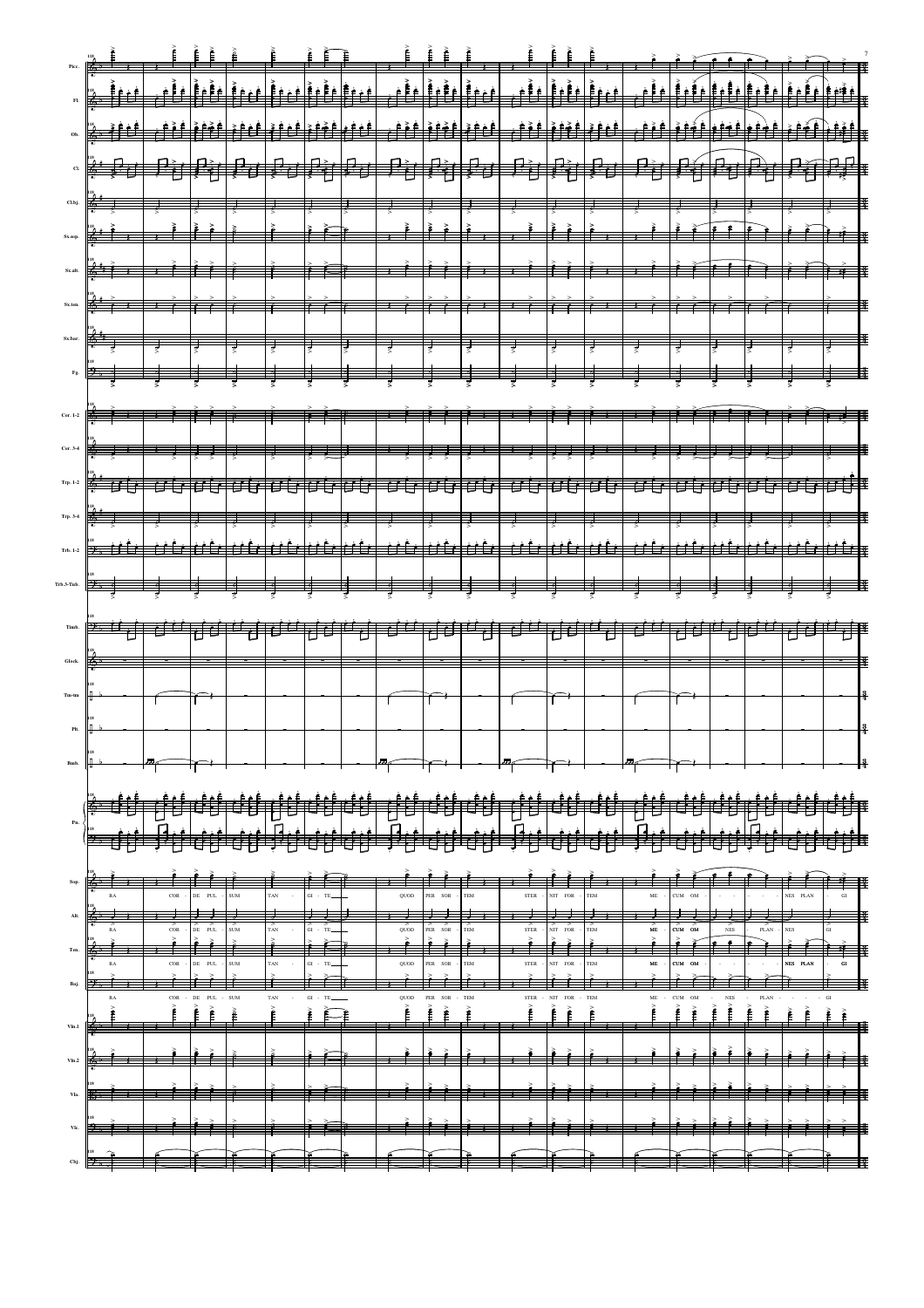|                  |                  |         |                                                                                                   |               |                    |              | $\hat{H}$ |                                                                                       |                         |       |              | <u>Àit</u>              |       |                                                                                                                                                                                                                                |                               |                          |             |                                            |              |  |
|------------------|------------------|---------|---------------------------------------------------------------------------------------------------|---------------|--------------------|--------------|-----------|---------------------------------------------------------------------------------------|-------------------------|-------|--------------|-------------------------|-------|--------------------------------------------------------------------------------------------------------------------------------------------------------------------------------------------------------------------------------|-------------------------------|--------------------------|-------------|--------------------------------------------|--------------|--|
| $\mathbf{Fl.}$   |                  |         |                                                                                                   |               |                    |              |           |                                                                                       |                         |       |              |                         |       | بِ وَقَدْ إِقَوْمَةً وَالْقَوْمَةُ إِقْوَمِهَا وَمِنْ إِلَى مَقْرَا فَقَوْمَ الْقَوْمَةُ الْمَقْرَامَةُ وَالْقوقة وَالْقَوْمَ الْقَوْمَ الْقَوْمَ وَالْقَوْمَ الْقَوْمَ وَالْقَوْمَ الْقَوْمَ وَالْقَوْمَ الْقَوْمَ وَالْقَوْم |                               |                          |             |                                            |              |  |
| Ob.              |                  |         |                                                                                                   |               |                    |              |           | <u>  1514  1514  1514  1514  1514  1515  1516  1514  1515  1516  1517  1518  1518</u> |                         |       |              |                         |       |                                                                                                                                                                                                                                |                               |                          |             | <u>, 111 (Jest la télatat la télatat l</u> |              |  |
| ${\rm cl.}$      |                  |         |                                                                                                   |               |                    |              |           |                                                                                       |                         |       |              |                         |       |                                                                                                                                                                                                                                |                               |                          |             |                                            |              |  |
| Cl.bj.           |                  |         |                                                                                                   |               |                    |              |           | ≢                                                                                     |                         |       |              |                         |       |                                                                                                                                                                                                                                |                               | ₩                        |             |                                            |              |  |
|                  |                  |         |                                                                                                   |               |                    |              |           |                                                                                       |                         |       | <u>nij</u>   |                         |       |                                                                                                                                                                                                                                |                               | $\overline{\phantom{a}}$ |             |                                            | <u>f let</u> |  |
| Sx.alt.          |                  |         |                                                                                                   |               |                    |              |           |                                                                                       |                         |       |              |                         |       | <u>An an is in it an aisime air in an is for air an i</u>                                                                                                                                                                      |                               |                          |             |                                            |              |  |
| Sx.ten           |                  |         |                                                                                                   |               |                    |              |           | $\lambda$ $\epsilon$ $\epsilon$ $\epsilon$ $\epsilon$ $\lambda$ $\tau$                |                         |       |              |                         |       |                                                                                                                                                                                                                                |                               |                          |             |                                            |              |  |
| $_{\rm Sx,bar.}$ | i <del>ğ y</del> |         | $\overline{\mathbf{r}}$                                                                           | ₹             | ₹                  | ाईै          |           | $\overline{\frac{1}{2}}$                                                              | $\frac{1}{\sqrt{2}}$    | ₹     | ₹            | $\overline{\mathbb{F}}$ | ₹     | ₹                                                                                                                                                                                                                              |                               |                          |             | ₹                                          | ₹            |  |
|                  |                  |         | $\frac{1}{2}$ $\frac{1}{2}$ $\frac{1}{2}$ $\frac{1}{2}$ $\frac{1}{2}$ $\frac{1}{2}$ $\frac{1}{2}$ |               |                    |              |           |                                                                                       |                         |       |              |                         |       |                                                                                                                                                                                                                                |                               |                          |             |                                            | ₩            |  |
| $Cor. 1-2$       |                  | $6 + 1$ |                                                                                                   |               |                    |              |           |                                                                                       | $\cdot$ $\cdot$ $\cdot$ |       |              |                         |       |                                                                                                                                                                                                                                |                               |                          |             | $\overline{+}\overline{+}\rightarrow +$    |              |  |
| $\rm Cor. \,3-4$ |                  |         |                                                                                                   |               |                    |              |           |                                                                                       |                         |       |              |                         |       |                                                                                                                                                                                                                                |                               |                          |             |                                            |              |  |
| Trp. 1-2         |                  |         |                                                                                                   |               |                    |              |           |                                                                                       |                         |       |              |                         |       | ैयसे वसकरियेवरियेवरियेवरिये वसकरिये वसकरियेवरियेवरियेवरियेवरिये                                                                                                                                                                |                               |                          |             |                                            |              |  |
| Trp. 3-4         |                  |         |                                                                                                   |               |                    |              |           |                                                                                       |                         |       |              |                         |       |                                                                                                                                                                                                                                |                               |                          |             |                                            |              |  |
| Trb. 1-2         |                  |         |                                                                                                   |               |                    |              |           |                                                                                       |                         |       |              |                         |       |                                                                                                                                                                                                                                |                               |                          |             |                                            |              |  |
| Trb.3-Tub.       |                  |         |                                                                                                   |               |                    |              |           |                                                                                       |                         |       |              |                         |       |                                                                                                                                                                                                                                |                               |                          |             |                                            |              |  |
|                  |                  |         |                                                                                                   |               |                    |              |           |                                                                                       |                         |       |              |                         |       |                                                                                                                                                                                                                                |                               |                          |             |                                            |              |  |
|                  |                  |         |                                                                                                   |               |                    |              |           |                                                                                       |                         |       |              |                         |       |                                                                                                                                                                                                                                |                               |                          |             |                                            |              |  |
| Timb.<br>Glock   |                  |         |                                                                                                   |               |                    |              |           |                                                                                       | चिमि                    |       |              |                         |       |                                                                                                                                                                                                                                |                               |                          |             |                                            |              |  |
|                  |                  |         |                                                                                                   |               |                    |              |           |                                                                                       |                         |       |              |                         |       |                                                                                                                                                                                                                                |                               |                          |             |                                            |              |  |
|                  |                  |         |                                                                                                   |               |                    |              |           |                                                                                       |                         |       |              |                         |       |                                                                                                                                                                                                                                |                               |                          |             |                                            |              |  |
|                  |                  |         |                                                                                                   |               |                    |              |           |                                                                                       |                         |       |              |                         |       |                                                                                                                                                                                                                                |                               |                          |             |                                            |              |  |
|                  |                  |         |                                                                                                   |               |                    |              |           |                                                                                       |                         |       |              |                         |       |                                                                                                                                                                                                                                |                               |                          |             |                                            |              |  |
| Pn.              |                  |         |                                                                                                   |               |                    |              |           |                                                                                       |                         |       |              |                         |       |                                                                                                                                                                                                                                |                               |                          |             |                                            |              |  |
|                  |                  |         |                                                                                                   |               |                    |              |           |                                                                                       |                         |       |              |                         |       |                                                                                                                                                                                                                                |                               |                          |             |                                            |              |  |
|                  |                  |         | COR                                                                                               | DE PUL        | <b>SUM</b>         | <b>TAN</b>   | $-TE$     | QUOD                                                                                  | PER SOR                 | TEM   | ${\tt STER}$ | NIT FOR                 | TEM   | ME                                                                                                                                                                                                                             | CUM OM                        |                          |             | NES PLAN                                   | GI           |  |
| Alt.             |                  |         | $_{\mbox{\scriptsize\sc COR}}$                                                                    | $DE - PUL$    | <b>SUM</b>         | <b>TAN</b>   | $-TE$     | QUOD                                                                                  | PER SOR                 | TEM   | STER         | NIT FOR                 | TEM   | ME                                                                                                                                                                                                                             | $CUM$ OM                      | $_{\rm NES}$             | PLAN        | <b>NES</b>                                 | GI           |  |
| Ten.             |                  | RA      | $_{\mbox{\scriptsize\sc COR}}$                                                                    | $\rm{DE-PUL}$ | $\mathop{\rm SUM}$ | TAN          | $-TE$     | QUOD                                                                                  | PER SOR                 | TEM   | STER         | $\text{NIT}-\text{FOR}$ | TEM   | ME                                                                                                                                                                                                                             | ${\rm\bf CUM}$ $-{\rm\bf OM}$ |                          |             | NES PLAN                                   | $_{\rm GI}$  |  |
| Baj.             |                  | RA      | $COR -$                                                                                           | DE PUL        | - SUM              | $_{\rm TAN}$ | $GI - TE$ | QUOD                                                                                  | PER SOR                 | - TEM | <b>STER</b>  | NIT FOR                 | - TEM | ME                                                                                                                                                                                                                             | CUM OM                        | <b>NES</b>               | <b>PLAN</b> |                                            |              |  |
| Vln.1            |                  |         |                                                                                                   |               |                    | Ê            |           |                                                                                       |                         |       |              | £                       |       |                                                                                                                                                                                                                                | £                             | ₿<br>₽                   | É           | È                                          |              |  |
| Vln.2            |                  |         |                                                                                                   |               |                    |              |           |                                                                                       |                         |       |              |                         |       |                                                                                                                                                                                                                                |                               |                          |             |                                            |              |  |
| Vla              |                  |         |                                                                                                   |               |                    |              |           |                                                                                       |                         |       |              |                         |       |                                                                                                                                                                                                                                |                               |                          |             |                                            |              |  |
| Vlc.             |                  |         |                                                                                                   |               |                    |              |           |                                                                                       |                         |       |              |                         |       |                                                                                                                                                                                                                                |                               |                          |             |                                            |              |  |